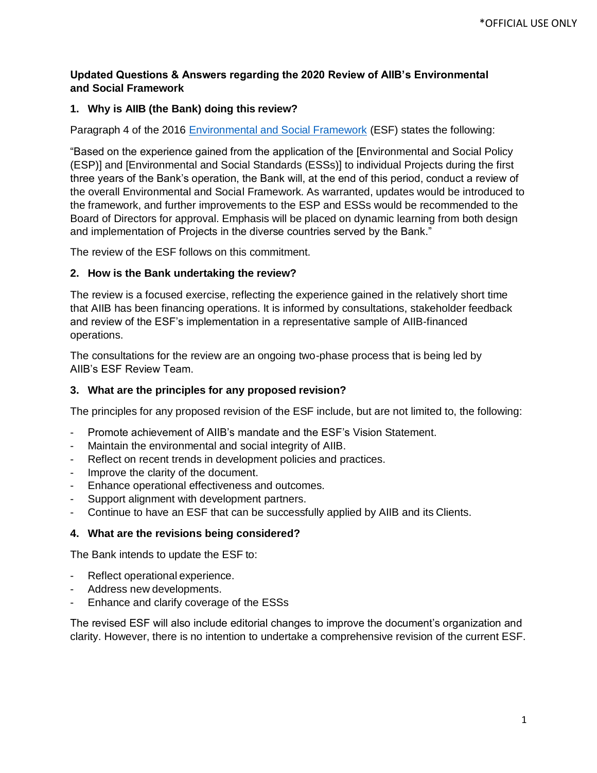# **Updated Questions & Answers regarding the 2020 Review of AIIB's Environmental and Social Framework**

## **1. Why is AIIB (the Bank) doing this review?**

Paragraph 4 of the 2016 [Environmental and Social Framework](https://www.aiib.org/en/policies-strategies/_download/environment-framework/Final-ESF-Mar-14-2019-Final-P.pdf) (ESF) states the following:

"Based on the experience gained from the application of the [Environmental and Social Policy (ESP)] and [Environmental and Social Standards (ESSs)] to individual Projects during the first three years of the Bank's operation, the Bank will, at the end of this period, conduct a review of the overall Environmental and Social Framework. As warranted, updates would be introduced to the framework, and further improvements to the ESP and ESSs would be recommended to the Board of Directors for approval. Emphasis will be placed on dynamic learning from both design and implementation of Projects in the diverse countries served by the Bank."

The review of the ESF follows on this commitment.

#### **2. How is the Bank undertaking the review?**

The review is a focused exercise, reflecting the experience gained in the relatively short time that AIIB has been financing operations. It is informed by consultations, stakeholder feedback and review of the ESF's implementation in a representative sample of AIIB-financed operations.

The consultations for the review are an ongoing two-phase process that is being led by AIIB's ESF Review Team.

### **3. What are the principles for any proposed revision?**

The principles for any proposed revision of the ESF include, but are not limited to, the following:

- Promote achievement of AIIB's mandate and the ESF's Vision Statement.
- Maintain the environmental and social integrity of AIIB.
- Reflect on recent trends in development policies and practices.
- Improve the clarity of the document.
- Enhance operational effectiveness and outcomes.
- Support alignment with development partners.
- Continue to have an ESF that can be successfully applied by AIIB and its Clients.

## **4. What are the revisions being considered?**

The Bank intends to update the ESF to:

- Reflect operational experience.
- Address new developments.
- Enhance and clarify coverage of the ESSs

The revised ESF will also include editorial changes to improve the document's organization and clarity. However, there is no intention to undertake a comprehensive revision of the current ESF.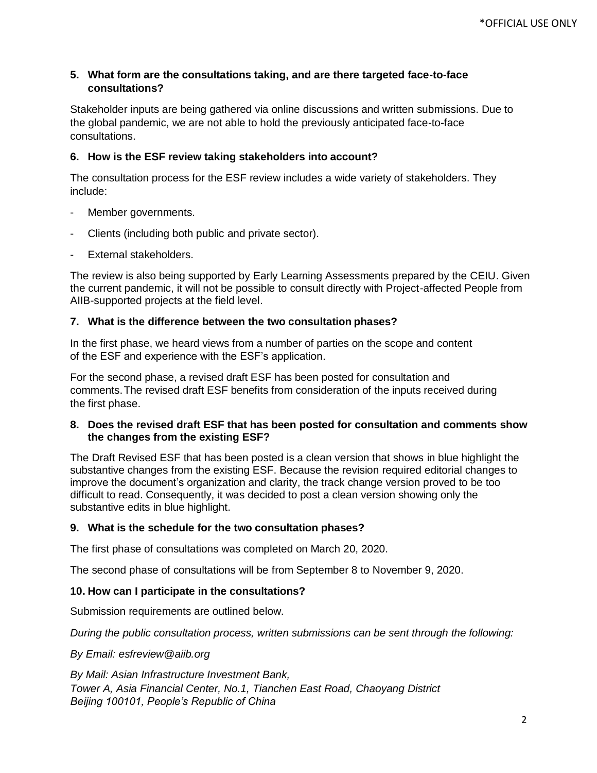# **5. What form are the consultations taking, and are there targeted face-to-face consultations?**

Stakeholder inputs are being gathered via online discussions and written submissions. Due to the global pandemic, we are not able to hold the previously anticipated face-to-face consultations.

# **6. How is the ESF review taking stakeholders into account?**

The consultation process for the ESF review includes a wide variety of stakeholders. They include:

- Member governments.
- Clients (including both public and private sector).
- External stakeholders.

The review is also being supported by Early Learning Assessments prepared by the CEIU. Given the current pandemic, it will not be possible to consult directly with Project-affected People from AIIB-supported projects at the field level.

## **7. What is the difference between the two consultation phases?**

In the first phase, we heard views from a number of parties on the scope and content of the ESF and experience with the ESF's application.

For the second phase, a revised draft ESF has been posted for consultation and comments.The revised draft ESF benefits from consideration of the inputs received during the first phase.

## **8. Does the revised draft ESF that has been posted for consultation and comments show the changes from the existing ESF?**

The Draft Revised ESF that has been posted is a clean version that shows in blue highlight the substantive changes from the existing ESF. Because the revision required editorial changes to improve the document's organization and clarity, the track change version proved to be too difficult to read. Consequently, it was decided to post a clean version showing only the substantive edits in blue highlight.

## **9. What is the schedule for the two consultation phases?**

The first phase of consultations was completed on March 20, 2020.

The second phase of consultations will be from September 8 to November 9, 2020.

## **10. How can I participate in the consultations?**

Submission requirements are outlined below.

*During the public consultation process, written submissions can be sent through the following:* 

#### *By Email: [esfreview@aiib.org](mailto:esfreview@aiib.org)*

*By Mail: Asian Infrastructure Investment Bank, Tower A, Asia Financial Center, No.1, Tianchen East Road, Chaoyang District Beijing 100101, People's Republic of China*